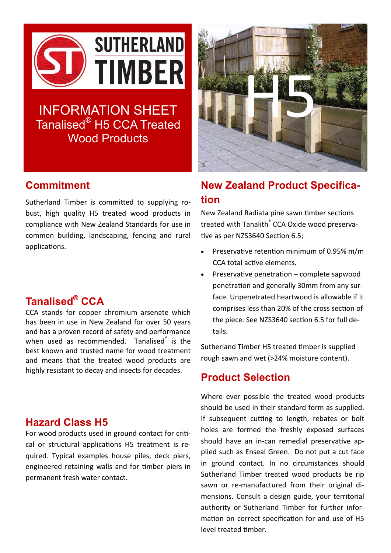

# INFORMATION SHEET Tanalised® H5 CCA Treated Wood Products

### **Commitment**

Sutherland Timber is committed to supplying robust, high quality H5 treated wood products in compliance with New Zealand Standards for use in common building, landscaping, fencing and rural applications.

## **Tanalised® CCA**

CCA stands for copper chromium arsenate which has been in use in New Zealand for over 50 years and has a proven record of safety and performance when used as recommended. Tanalised<sup>®</sup> is the best known and trusted name for wood treatment and means that the treated wood products are highly resistant to decay and insects for decades.

#### **Hazard Class H5**

For wood products used in ground contact for critical or structural applications H5 treatment is required. Typical examples house piles, deck piers, engineered retaining walls and for timber piers in permanent fresh water contact.



# **New Zealand Product Specification**

New Zealand Radiata pine sawn timber sections treated with Tanalith<sup>®</sup> CCA Oxide wood preservative as per NZS3640 Section 6.5;

- Preservative retention minimum of 0.95% m/m CCA total active elements.
- Preservative penetration complete sapwood penetration and generally 30mm from any surface. Unpenetrated heartwood is allowable if it comprises less than 20% of the cross section of the piece. See NZS3640 section 6.5 for full details.

Sutherland Timber H5 treated timber is supplied rough sawn and wet (>24% moisture content).

#### **Product Selection**

Where ever possible the treated wood products should be used in their standard form as supplied. If subsequent cutting to length, rebates or bolt holes are formed the freshly exposed surfaces should have an in-can remedial preservative applied such as Enseal Green. Do not put a cut face in ground contact. In no circumstances should Sutherland Timber treated wood products be rip sawn or re-manufactured from their original dimensions. Consult a design guide, your territorial authority or Sutherland Timber for further information on correct specification for and use of H5 level treated timber.